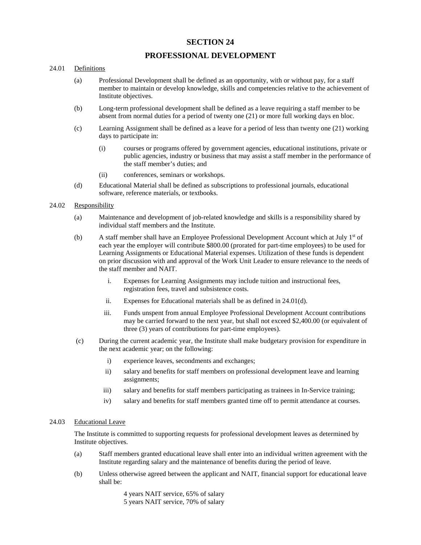# **SECTION 24**

# **PROFESSIONAL DEVELOPMENT**

## 24.01 Definitions

- (a) Professional Development shall be defined as an opportunity, with or without pay, for a staff member to maintain or develop knowledge, skills and competencies relative to the achievement of Institute objectives.
- (b) Long-term professional development shall be defined as a leave requiring a staff member to be absent from normal duties for a period of twenty one (21) or more full working days en bloc.
- (c) Learning Assignment shall be defined as a leave for a period of less than twenty one (21) working days to participate in:
	- (i) courses or programs offered by government agencies, educational institutions, private or public agencies, industry or business that may assist a staff member in the performance of the staff member's duties; and
	- (ii) conferences, seminars or workshops.
- (d) Educational Material shall be defined as subscriptions to professional journals, educational software, reference materials, or textbooks.

#### 24.02 Responsibility

- (a) Maintenance and development of job-related knowledge and skills is a responsibility shared by individual staff members and the Institute.
- (b) A staff member shall have an Employee Professional Development Account which at July  $1<sup>st</sup>$  of each year the employer will contribute \$800.00 (prorated for part-time employees) to be used for Learning Assignments or Educational Material expenses. Utilization of these funds is dependent on prior discussion with and approval of the Work Unit Leader to ensure relevance to the needs of the staff member and NAIT.
	- i. Expenses for Learning Assignments may include tuition and instructional fees, registration fees, travel and subsistence costs.
	- ii. Expenses for Educational materials shall be as defined in 24.01(d).
	- iii. Funds unspent from annual Employee Professional Development Account contributions may be carried forward to the next year, but shall not exceed \$2,400.00 (or equivalent of three (3) years of contributions for part-time employees).
- (c) During the current academic year, the Institute shall make budgetary provision for expenditure in the next academic year; on the following:
	- i) experience leaves, secondments and exchanges;
	- ii) salary and benefits for staff members on professional development leave and learning assignments;
	- iii) salary and benefits for staff members participating as trainees in In-Service training;
	- iv) salary and benefits for staff members granted time off to permit attendance at courses.

## 24.03 Educational Leave

The Institute is committed to supporting requests for professional development leaves as determined by Institute objectives.

- (a) Staff members granted educational leave shall enter into an individual written agreement with the Institute regarding salary and the maintenance of benefits during the period of leave.
- (b) Unless otherwise agreed between the applicant and NAIT, financial support for educational leave shall be:

4 years NAIT service, 65% of salary 5 years NAIT service, 70% of salary